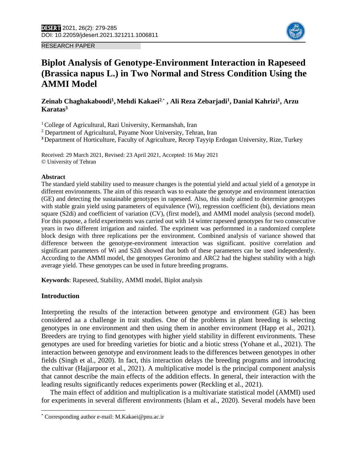



# **Biplot Analysis of Genotype-Environment Interaction in Rapeseed (Brassica napus L.) in Two Normal and Stress Condition Using the AMMI Model**

**Zeinab Chaghakaboodi<sup>1</sup> , Mehdi Kakaei<sup>2</sup>**,\*1 **, Ali Reza Zebarjadi<sup>1</sup> , Danial Kahrizi<sup>1</sup> , Arzu Karatas<sup>3</sup>**

<sup>1</sup> College of Agricultural, Razi University, Kermanshah, Iran

<sup>2</sup> Department of Agricultural, Payame Noor University, Tehran, Iran

**<sup>3</sup>** Department of Horticulture, Faculty of Agriculture, Recep Tayyip Erdogan University, Rize, Turkey

Received: 29 March 2021, Revised: 23 April 2021, Accepted: 16 May 2021 © University of Tehran

#### **Abstract**

The standard yield stability used to measure changes is the potential yield and actual yield of a genotype in different environments. The aim of this research was to evaluate the genotype and environment interaction (GE) and detecting the sustainable genotypes in rapeseed. Also, this study aimed to determine genotypes with stable grain yield using parameters of equivalence (Wi), regression coefficient (bi), deviations mean square (S2di) and coefficient of variation (CV), (first model), and AMMI model analysis (second model). For this pupose, a field experiments was carried out with 14 winter rapeseed genotypes for two consecutive years in two different irrigation and rainfed. The expriment was performmed in a randomized complete block design with three replications per the environment. Combined analysis of variance showed that difference between the genotype-environment interaction was significant. positive correlation and significant parameters of Wi and S2di showed that both of these parameters can be used independently. According to the AMMI model, the genotypes Geronimo and ARC2 had the highest stability with a high average yield. These genotypes can be used in future breeding programs.

**Keywords**: Rapeseed, Stability, AMMI model, Biplot analysis

#### **Introduction**

 $\overline{\phantom{a}}$ 

Interpreting the results of the interaction between genotype and environment (GE) has been considered aa a challenge in trait studies. One of the problems in plant breeding is selecting genotypes in one environment and then using them in another environment (Happ et al., 2021). Breeders are trying to find genotypes with higher yield stability in different environments. These genotypes are used for breeding varieties for biotic and a biotic stress (Yohane et al., 2021). The interaction between genotype and environment leads to the differences between genotypes in other fields (Singh et al., 2020). In fact, this interaction delays the breeding programs and introducing the cultivar (Hajjarpoor et al., 2021). A multiplicative model is the principal component analysis that cannot describe the main effects of the addition effects. In general, their interaction with the leading results significantly reduces experiments power (Reckling et al., 2021).

 The main effect of addition and multiplication is a multivariate statistical model (AMMI) used for experiments in several different environments (Islam et al., 2020). Several models have been

<sup>\*</sup> Corresponding author e-mail: M.Kakaei@pnu.ac.ir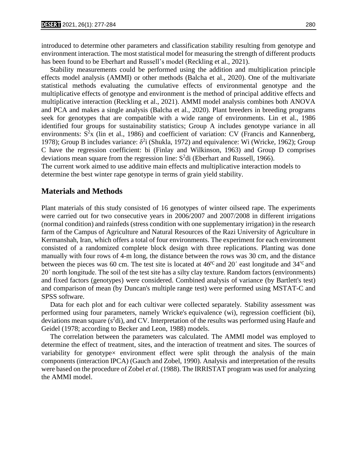introduced to determine other parameters and classification stability resulting from genotype and environment interaction. The most statistical model for measuring the strength of different products has been found to be Eberhart and Russell's model (Reckling et al., 2021).

 Stability measurements could be performed using the addition and multiplication principle effects model analysis (AMMI) or other methods (Balcha et al., 2020). One of the multivariate statistical methods evaluating the cumulative effects of environmental genotype and the multiplicative effects of genotype and environment is the method of principal additive effects and multiplicative interaction (Reckling et al., 2021). AMMI model analysis combines both ANOVA and PCA and makes a single analysis (Balcha et al., 2020). Plant breeders in breeding programs seek for genotypes that are compatible with a wide range of environments. Lin et al., 1986 identified four groups for sustainability statistics; Group A includes genotype variance in all environments:  $S^2x$  (lin et al., 1986) and coefficient of variation: CV (Francis and Kannenberg, 1978); Group B includes variance:  $\delta^2$ i (Shukla, 1972) and equivalence: Wi (Wricke, 1962); Group C have the regression coefficient: bi (Finlay and Wilkinson, 1963) and Group D comprises deviations mean square from the regression line:  $S<sup>2</sup>$ di (Eberhart and Russell, 1966).

The current work aimed to use additive main effects and multiplicative interaction models to determine the best winter rape genotype in terms of grain yield stability.

## **Materials and Methods**

Plant materials of this study consisted of 16 genotypes of winter oilseed rape. The experiments were carried out for two consecutive years in 2006/2007 and 2007/2008 in different irrigations (normal condition) and rainfeds (stress condition with one supplementary irrigation) in the research farm of the Campus of Agriculture and Natural Resources of the Razi University of Agriculture in Kermanshah, Iran, which offers a total of four environments. The experiment for each environment consisted of a randomized complete block design with three replications. Planting was done manually with four rows of 4-m long, the distance between the rows was 30 cm, and the distance between the pieces was 60 cm. The test site is located at  $46°C$  and 20<sup> $\degree$ </sup> east longitude and 34<sup>°°C</sup> and 20΄ north longitude. The soil of the test site has a silty clay texture. Random factors (environments) and fixed factors (genotypes) were considered. Combined analysis of variance (by Bartlett's test) and comparison of mean (by Duncan's multiple range test) were performed using MSTAT-C and SPSS software.

 Data for each plot and for each cultivar were collected separately. Stability assessment was performed using four parameters, namely Wricke's equivalence (wi), regression coefficient (bi), deviations mean square  $(s^2di)$ , and CV. Interpretation of the results was performed using Haufe and Geidel (1978; according to Becker and Leon, 1988) models.

 The correlation between the parameters was calculated. The AMMI model was employed to determine the effect of treatment, sites, and the interaction of treatment and sites. The sources of variability for genotypex environment effect were split through the analysis of the main components (interaction IPCA) (Gauch and Zobel, 1990). Analysis and interpretation of the results were based on the procedure of Zobel *et al*. (1988). The IRRISTAT program was used for analyzing the AMMI model.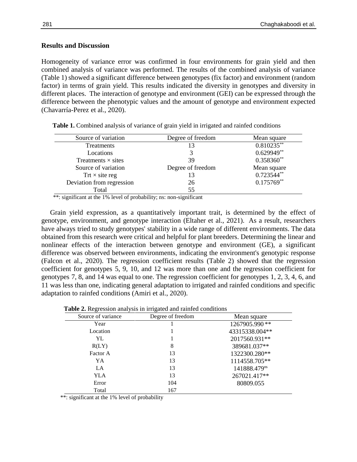### **Results and Discussion**

Homogeneity of variance error was confirmed in four environments for grain yield and then combined analysis of variance was performed. The results of the combined analysis of variance (Table 1) showed a significant difference between genotypes (fix factor) and environment (random factor) in terms of grain yield. This results indicated the diversity in genotypes and diversity in different places. The interaction of genotype and environment (GEI) can be expressed through the difference between the phenotypic values and the amount of genotype and environment expected (Chavarría-Perez et al., 2020).

| Source of variation       | Degree of freedom | Mean square   |
|---------------------------|-------------------|---------------|
| Treatments                |                   | $0.810235***$ |
| Locations                 |                   | $0.629949**$  |
| Treatments $\times$ sites | 39                | $0.358360**$  |
| Source of variation       | Degree of freedom | Mean square   |
| Trt $\times$ site reg     |                   | $0.723544**$  |
| Deviation from regression | 26                | $0.175769**$  |
| Total                     | 55                |               |

 **Table 1.** Combined analysis of variance of grain yield in irrigated and rainfed conditions

\*\*: significant at the 1% level of probability; ns: non-significant

 Grain yield expression, as a quantitatively important trait, is determined by the effect of genotype, environment, and genotype interaction (Eltaher et al., 2021). As a result, researchers have always tried to study genotypes' stability in a wide range of different environments. The data obtained from this research were critical and helpful for plant breeders. Determining the linear and nonlinear effects of the interaction between genotype and environment (GE), a significant difference was observed between environments, indicating the environment's genotypic response (Falcon et al., 2020). The regression coefficient results (Table 2) showed that the regression coefficient for genotypes 5, 9, 10, and 12 was more than one and the regression coefficient for genotypes 7, 8, and 14 was equal to one. The regression coefficient for genotypes 1, 2, 3, 4, 6, and 11 was less than one, indicating general adaptation to irrigated and rainfed conditions and specific adaptation to rainfed conditions (Amiri et al., 2020).

| Source of variance | Degree of freedom | Mean square    |
|--------------------|-------------------|----------------|
| Year               |                   | 1267905.990**  |
| Location           |                   | 43315338.004** |
| YL                 |                   | 2017560.931**  |
| R(LY)              | 8                 | 389681.037**   |
| Factor A           | 13                | 1322300.280**  |
| YA                 | 13                | 1114558.705**  |
| LA                 | 13                | 141888.479ns   |
| YLA                | 13                | 267021.417**   |
| Error              | 104               | 80809.055      |
| Total              | 167               |                |

\*\*: significant at the 1% level of probability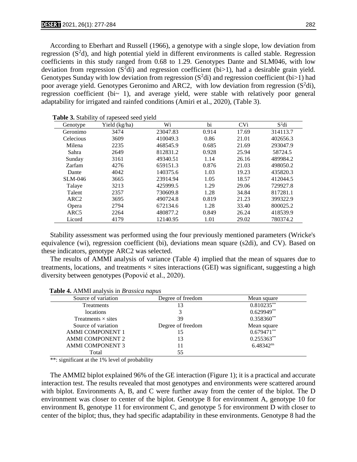According to Eberhart and Russell (1966), a genotype with a single slope, low deviation from regression  $(S^2d)$ , and high potential yield in different environments is called stable. Regression coefficients in this study ranged from 0.68 to 1.29. Genotypes Dante and SLM046, with low deviation from regression  $(S^2di)$  and regression coefficient (bi>1), had a desirable grain yield. Genotypes Sunday with low deviation from regression  $(S^2d)$  and regression coefficient (bi>1) had poor average yield. Genotypes Geronimo and ARC2, with low deviation from regression  $(S^2di)$ , regression coefficient (bi $\sim$  1), and average yield, were stable with relatively poor general adaptability for irrigated and rainfed conditions (Amiri et al., 2020), (Table 3).

| Genotype         | Yield (kg/ha) | Wi       | bi    | <b>CVi</b> | $S^2$ di |
|------------------|---------------|----------|-------|------------|----------|
| Geronimo         | 3474          | 23047.83 | 0.914 | 17.69      | 314113.7 |
| Celecious        | 3609          | 410049.3 | 0.86  | 21.01      | 402656.3 |
| Milena           | 2235          | 468545.9 | 0.685 | 21.69      | 293047.9 |
| Sahra            | 2649          | 812831.2 | 0.928 | 25.94      | 58724.5  |
| Sunday           | 3161          | 49340.51 | 1.14  | 26.16      | 489984.2 |
| Zarfam           | 4276          | 659151.3 | 0.876 | 21.03      | 498050.2 |
| Dante            | 4042          | 140375.6 | 1.03  | 19.23      | 435820.3 |
| SLM-046          | 3665          | 23914.94 | 1.05  | 18.57      | 412044.5 |
| Talaye           | 3213          | 425999.5 | 1.29  | 29.06      | 729927.8 |
| Talent           | 2357          | 730609.8 | 1.28  | 34.84      | 817281.1 |
| ARC <sub>2</sub> | 3695          | 490724.8 | 0.819 | 21.23      | 399322.9 |
| Opera            | 2794          | 672134.6 | 1.28  | 33.40      | 800025.2 |
| ARC <sub>5</sub> | 2264          | 480877.2 | 0.849 | 26.24      | 418539.9 |
| Licord           | 4179          | 12140.95 | 1.01  | 29.02      | 780374.2 |

 **Table 3.** Stability of rapeseed seed yield

 Stability assessment was performed using the four previously mentioned parameters (Wricke's equivalence (wi), regression coefficient (bi), deviations mean square (s2di), and CV). Based on these indicators, genotype ARC2 was selected.

 The results of AMMI analysis of variance (Table 4) implied that the mean of squares due to treatments, locations, and treatments  $\times$  sites interactions (GEI) was significant, suggesting a high diversity between genotypes (Popović et al., 2020).

| Source of variation       | Degree of freedom | Mean square    |
|---------------------------|-------------------|----------------|
| Treatments                | 13                | $0.810235***$  |
| locations                 |                   | $0.629949**$   |
| Treatments $\times$ sites | 39                | $0.358360**$   |
| Source of variation       | Degree of freedom | Mean square    |
| <b>AMMI COMPONENT 1</b>   | 15                | $0.679471**$   |
| <b>AMMI COMPONENT 2</b>   | 13                | $0.255363**$   |
| <b>AMMI COMPONENT 3</b>   | 11                | $6.48342^{ns}$ |
| Total                     | 55                |                |

**Table 4.** AMMI analysis in *Brassica napus*

\*\*: significant at the 1% level of probability

 The AMMI2 biplot explained 96% of the GE interaction (Figure 1); it is a practical and accurate interaction test. The results revealed that most genotypes and environments were scattered around with biplot. Environments A, B, and C were further away from the center of the biplot. The D environment was closer to center of the biplot. Genotype 8 for environment A, genotype 10 for environment B, genotype 11 for environment C, and genotype 5 for environment D with closer to center of the biplot; thus, they had specific adaptability in these environments. Genotype 8 had the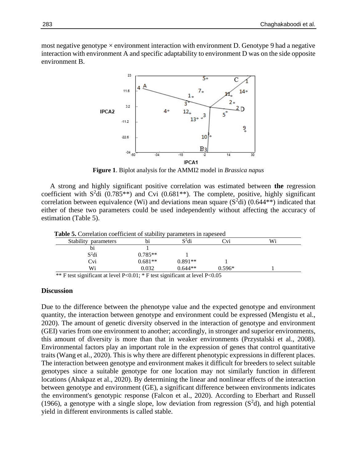most negative genotype  $\times$  environment interaction with environment D. Genotype 9 had a negative interaction with environment A and specific adaptability to environment D was on the side opposite environment B.



**Figure 1**. Biplot analysis for the AMMI2 model in *Brassica napus*

 A strong and highly significant positive correlation was estimated between **the** regression coefficient with  $S^2$ di (0.785<sup>\*\*</sup>) and Cvi (0.681<sup>\*\*</sup>). The complete, positive, highly significant correlation between equivalence (Wi) and deviations mean square  $(S^2di)$  (0.644\*\*) indicated that either of these two parameters could be used independently without affecting the accuracy of estimation (Table 5).

 **Table 5.** Correlation coefficient of stability parameters in rapeseed

| <b>Table 3.</b> Correlation coefficient of stability parameters in rapescent                                                        |           |           |          |    |  |
|-------------------------------------------------------------------------------------------------------------------------------------|-----------|-----------|----------|----|--|
| Stability parameters                                                                                                                | b1        | $S^2$ di  | ⊡vi      | Wi |  |
| b1                                                                                                                                  |           |           |          |    |  |
| $S^2$ di                                                                                                                            | $0.785**$ |           |          |    |  |
| Cvi                                                                                                                                 | $0.681**$ | $0.891**$ |          |    |  |
| Wi                                                                                                                                  | 0.032     | $0.644**$ | $0.596*$ |    |  |
| $\omega_0$ . $\omega$ . $\omega$ . $\omega$ . $\omega$ . $\omega$ . $\omega$ . $\omega$ . $\omega$ . $\omega$ . $\omega$ . $\omega$ |           |           |          |    |  |

\*\* F test significant at level P<0.01; \* F test significant at level P<0.05

#### **Discussion**

Due to the difference between the phenotype value and the expected genotype and environment quantity, the interaction between genotype and environment could be expressed (Mengistu et al., 2020). The amount of genetic diversity observed in the interaction of genotype and environment (GEI) varies from one environment to another; accordingly, in stronger and superior environments, this amount of diversity is more than that in weaker environments (Przystalski et al., 2008). Environmental factors play an important role in the expression of genes that control quantitative traits (Wang et al., 2020). This is why there are different phenotypic expressions in different places. The interaction between genotype and environment makes it difficult for breeders to select suitable genotypes since a suitable genotype for one location may not similarly function in different locations (Ahakpaz et al., 2020). By determining the linear and nonlinear effects of the interaction between genotype and environment (GE), a significant difference between environments indicates the environment's genotypic response (Falcon et al., 2020). According to Eberhart and Russell (1966), a genotype with a single slope, low deviation from regression  $(S<sup>2</sup>d)$ , and high potential yield in different environments is called stable.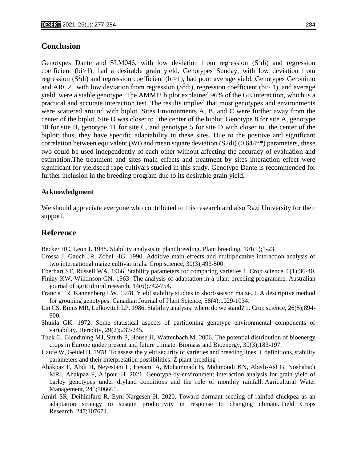# **Conclusion**

Genotypes Dante and SLM046, with low deviation from regression  $(S^2di)$  and regression coefficient (bi>1), had a desirable grain yield. Genotypes Sunday, with low deviation from regression ( $S^2$ di) and regression coefficient (bi>1), had poor average yield. Genotypes Geronimo and ARC2, with low deviation from regression  $(S^2di)$ , regression coefficient (bi~ 1), and average yield, were a stable genotype. The AMMI2 biplot explained 96% of the GE interaction, which is a practical and accurate interaction test. The results implied that most genotypes and environments were scattered around with biplot. Sites Environments A, B, and C were further away from the center of the biplot. Site D was closet to the center of the biplot. Genotype 8 for site A, genotype 10 for site B, genotype 11 for site C, and genotype 5 for site D with closer to the center of the biplot; thus, they have specific adaptability in these sites. Due to the positive and significant correlation between equivalent (Wi) and mean square deviation  $(S2di)$   $(0.644**)$  parameters, these two could be used independently of each other without affecting the accuracy of evaluation and estimation.The treatment and sites main effects and treatment by sites interaction effect were significant for yieldseed rape cultivars studied in this study. Genotype Dante is recommended for further inclusion in the breeding program due to its desirable grain yield.

#### **Acknowledgment**

We should appreciate everyone who contributed to this research and also Razi University for their support.

## **Reference**

Becker HC, Leon J. 1988. Stability analysis in plant breeding. Plant breeding, 101(1);1-23.

- Crossa J, Gauch JR, Zobel HG. 1990. Additive main effects and multiplicative interaction analysis of two international maize cultivar trials. Crop science, 30(3);493-500.
- Eberhart ST, Russell WA. 1966. Stability parameters for comparing varieties 1. Crop science, 6(1);36-40.
- Finlay KW, Wilkinson GN. 1963. The analysis of adaptation in a plant-breeding programme. Australian journal of agricultural research, 14(6);742-754.
- Francis TR, Kannenberg LW. 1978. Yield stability studies in short-season maize. I. A descriptive method for grouping genotypes. Canadian Journal of Plant Science, 58(4);1029-1034.
- Lin CS, Binns MR, Lefkovitch LP. 1986. Stability analysis: where do we stand? 1. Crop science, 26(5);894- 900.
- Shukla GK. 1972. Some statistical aspects of partitioning genotype environmental components of variability. Heredity, 29(2);237-245.
- Tuck G, Glendining MJ, Smith P, House JI, Wattenbach M. 2006. The potential distribution of bioenergy crops in Europe under present and future climate. Biomass and Bioenergy, 30(3);183-197.
- Haufe W, Geidel H. 1978. To assess the yield security of varieties and breeding lines. i. definitions, stability parameters and their interpretation possibilities. Z plant breeding .
- Ahakpaz F, Abdi H, Neyestani E, Hesami A, Mohammadi B, Mahmoudi KN, Abedi-Asl G, Noshabadi MRJ, Ahakpaz F, Alipour H. 2021. Genotype-by-environment interaction analysis for grain yield of barley genotypes under dryland conditions and the role of monthly rainfall. Agricultural Water Management, 245;106665.
- Amiri SR, Deihimfard R, Eyni-Nargeseh H. 2020. Toward dormant seeding of rainfed chickpea as an adaptation strategy to sustain productivity in response to changing climate. Field Crops Research, 247;107674.